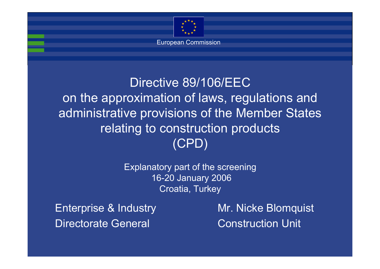

European Commission

#### Directive 89/106/EEC on the approximation of laws, regulations and administrative provisions of the Member States relating to construction products (CPD)

Explanatory part of the screening 16-20 January 2006 Croatia, Turkey

Enterprise & Industry Mr. Nicke Blomquist Directorate General **Construction Unit**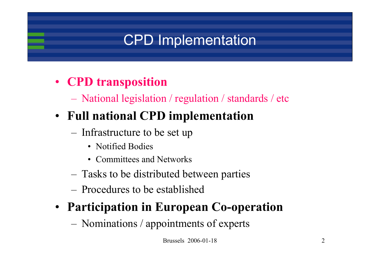# CPD Implementation

#### • **CPD transposition**

National legislation / regulation / standards / etc

#### • **Full national CPD implementation**

- Infrastructure to be set up
	- Notified Bodies
	- Committees and Networks
- Tasks to be distributed between parties
- Procedures to be established

#### • **Participation in European Co-operation**

Nominations / appointments of experts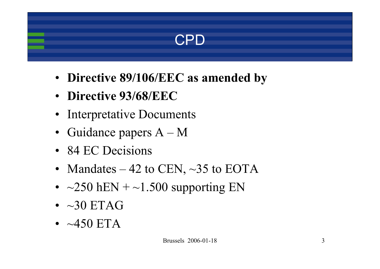#### CPD

- **Directive 89/106/EEC as amended by**
- **Directive 93/68/EEC**
- Interpretative Documents
- Guidance papers A M
- 84 EC Decisions
- Mandates 42 to CEN,  $\sim$ 35 to EOTA
- $\sim$  250 hEN +  $\sim$ 1.500 supporting EN
- ~30 ETAG
- $\bullet~\sim$ 450 ETA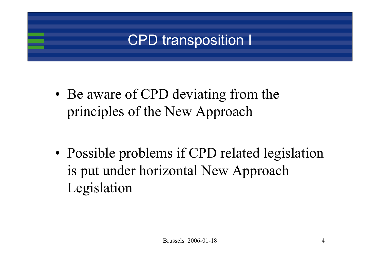### CPD transposition I

• Be aware of CPD deviating from the principles of the New Approach

• Possible problems if CPD related legislation is put under horizontal New Approach Legislation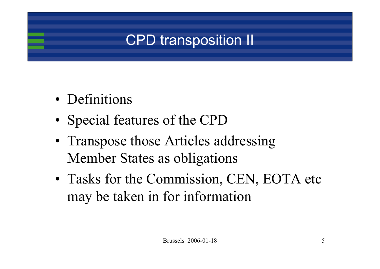## CPD transposition II

- Definitions
- Special features of the CPD
- Transpose those Articles addressing Member States as obligations
- Tasks for the Commission, CEN, EOTA etc may be taken in for information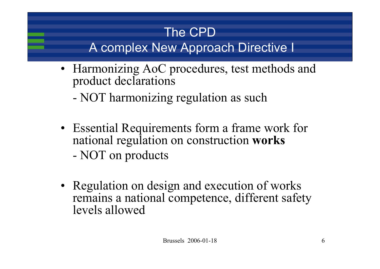#### The CPDA complex New Approach Directive I

- Harmonizing AoC procedures, test methods and product declarations
	- NOT harmonizing regulation as such
- Essential Requirements form a frame work for national regulation on construction **works** NOT on products
- Regulation on design and execution of works remains a national competence, different safety levels allowed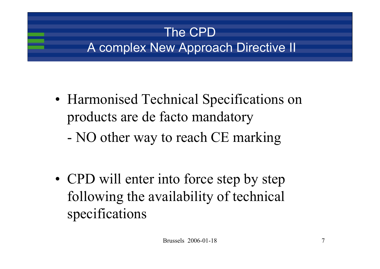### The CPDA complex New Approach Directive II

- Harmonised Technical Specifications on products are de facto mandatory
	- -NO other way to reach CE marking

• CPD will enter into force step by step following the availability of technical specifications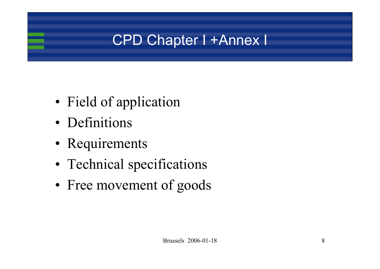## CPD Chapter I +Annex I

- Field of application
- Definitions
- Requirements
- Technical specifications
- Free movement of goods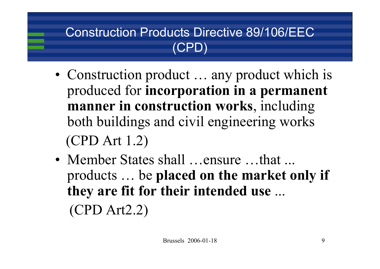#### Construction Products Directive 89/106/EEC (CPD)

- Construction product ... any product which is produced for **incorporation in a permanent manner in construction works**, including both buildings and civil engineering works (CPD Art 1.2)
- Member States shall …ensure …that … products … be **placed on the market only if they are fit for their intended use** ... (CPD Art2.2)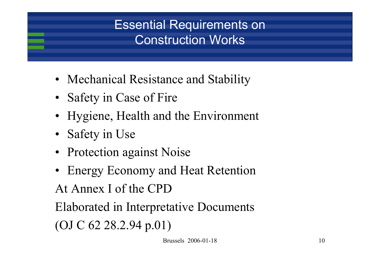#### Essential Requirements on Construction Works

- Mechanical Resistance and Stability
- Safety in Case of Fire
- Hygiene, Health and the Environment
- Safety in Use
- Protection against Noise
- Energy Economy and Heat Retention

At Annex I of the CPD

Elaborated in Interpretative Documents (OJ C 62 28.2.94 p.01)

Brussels 2006-01-18 10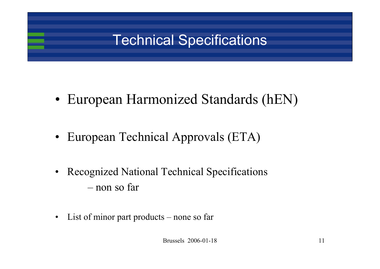## Technical Specifications

- European Harmonized Standards (hEN)
- European Technical Approvals (ETA)
- • Recognized National Technical Specifications – non so far
- •List of minor part products – none so far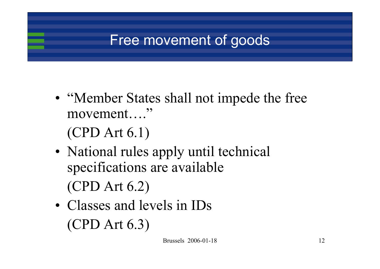### Free movement of goods

• "Member States shall not impede the free movement…."

(CPD Art 6.1)

- National rules apply until technical specifications are available (CPD Art 6.2)
- Classes and levels in IDs (CPD Art 6.3)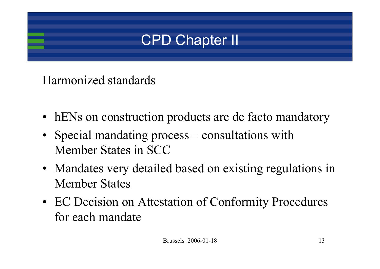## CPD Chapter II

#### Harmonized standards

- hENs on construction products are de facto mandatory
- Special mandating process consultations with Member States in SCC
- Mandates very detailed based on existing regulations in Member States
- EC Decision on Attestation of Conformity Procedures for each mandate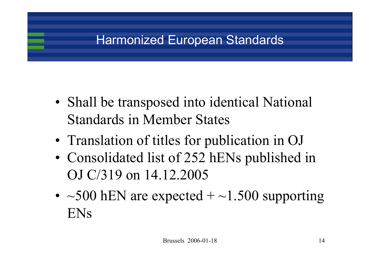#### Harmonized European Standards

- Shall be transposed into identical National Standards in Member States
- Translation of titles for publication in OJ
- Consolidated list of 252 hENs published in OJ C/319 on 14.12.2005
- $\sim$  500 hEN are expected +  $\sim$  1.500 supporting ENs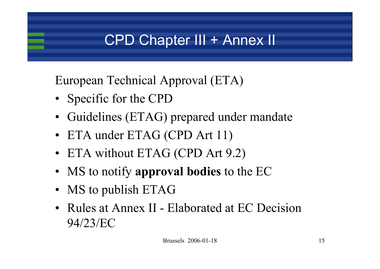## CPD Chapter III + Annex II

European Technical Approval (ETA)

- Specific for the CPD
- Guidelines (ETAG) prepared under mandate
- ETA under ETAG (CPD Art 11)
- ETA without ETAG (CPD Art 9.2)
- MS to notify **approval bodies** to the EC
- MS to publish ETAG
- Rules at Annex II Elaborated at EC Decision 94/23/EC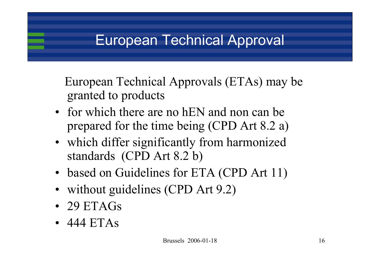### European Technical Approval

European Technical Approvals (ETAs) may be granted to products

- for which there are no hEN and non can be prepared for the time being (CPD Art 8.2 a)
- which differ significantly from harmonized standards (CPD Art 8.2 b)
- based on Guidelines for ETA (CPD Art 11)
- without guidelines (CPD Art 9.2)
- 29 ETAGs
- 444 ETAs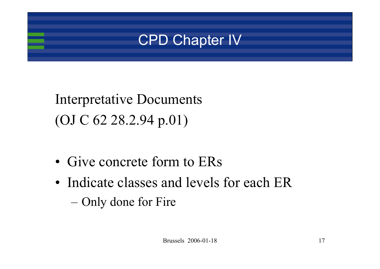

# Interpretative Documents (OJ C 62 28.2.94 p.01)

- Give concrete form to ERs
- Indicate classes and levels for each ER Only done for Fire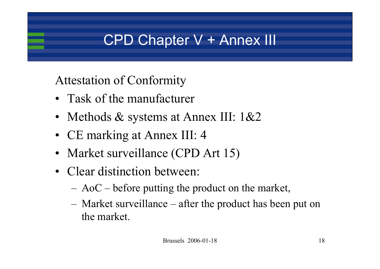### CPD Chapter V + Annex III

Attestation of Conformity

- Task of the manufacturer
- Methods  $\&$  systems at Annex III: 1 $\&$ 2
- CE marking at Annex III: 4
- Market surveillance (CPD Art 15)
- Clear distinction between:
	- AoC before putting the product on the market,
	- Market surveillance after the product has been put on the market.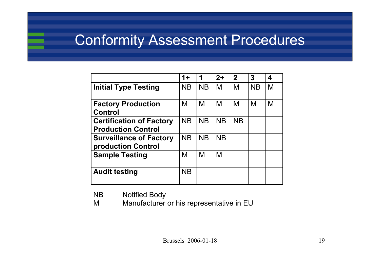#### Conformity Assessment Procedures

|                                                              | $1+$      | 1         | $2+$      | $\overline{2}$ | 3         | 4 |
|--------------------------------------------------------------|-----------|-----------|-----------|----------------|-----------|---|
| <b>Initial Type Testing</b>                                  | <b>NB</b> | <b>NB</b> | M         | M              | <b>NB</b> | M |
| <b>Factory Production</b><br><b>Control</b>                  | M         | M         | M         | M              | M         | M |
| <b>Certification of Factory</b><br><b>Production Control</b> | <b>NB</b> | <b>NB</b> | <b>NB</b> | <b>NB</b>      |           |   |
| <b>Surveillance of Factory</b><br>production Control         | <b>NB</b> | <b>NB</b> | <b>NB</b> |                |           |   |
| <b>Sample Testing</b>                                        | M         | M         | M         |                |           |   |
| <b>Audit testing</b>                                         | <b>NB</b> |           |           |                |           |   |

NB Notified Body

M Manufacturer or his representative in EU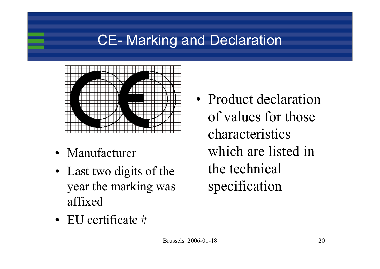## CE- Marking and Declaration



- Manufacturer
- Last two digits of the year the marking was affixed
- Product declaration of values for those characteristics which are listed in the technical specification

• EU certificate #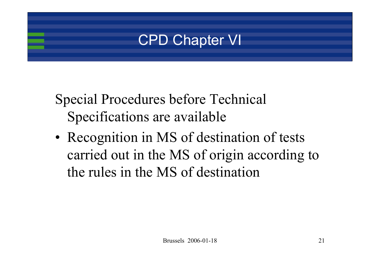### CPD Chapter VI

- Special Procedures before Technical Specifications are available
- Recognition in MS of destination of tests carried out in the MS of origin according to the rules in the MS of destination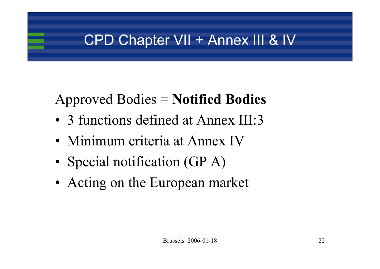## CPD Chapter VII + Annex III & IV

# Approved Bodies = **Notified Bodies**

- 3 functions defined at Annex III:3
- Minimum criteria at Annex IV
- Special notification (GP A)
- Acting on the European market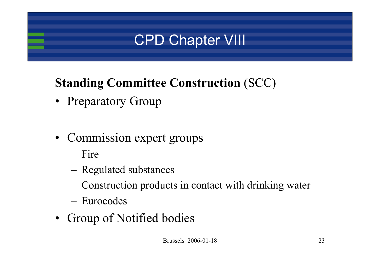# CPD Chapter VIII

#### **Standing Committee Construction** (SCC)

- Preparatory Group
- Commission expert groups
	- Fire
	- Regulated substances
	- Construction products in contact with drinking water
	- Eurocodes
- Group of Notified bodies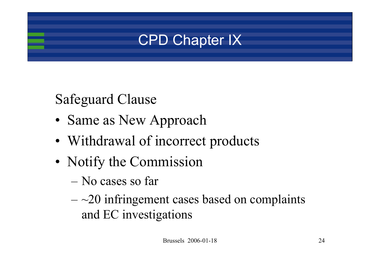

### Safeguard Clause

- Same as New Approach
- Withdrawal of incorrect products
- Notify the Commission
	- No cases so far
	- $\sim$ 20 infringement cases based on complaints and EC investigations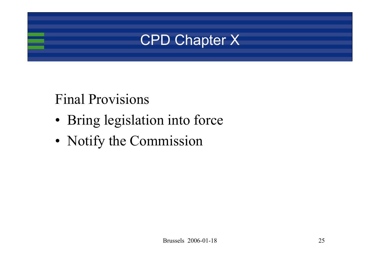

#### Final Provisions

- Bring legislation into force
- Notify the Commission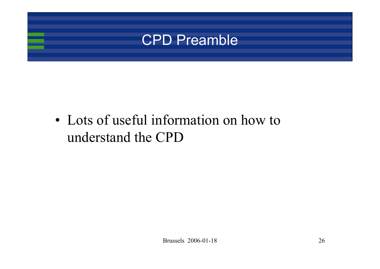

• Lots of useful information on how to understand the CPD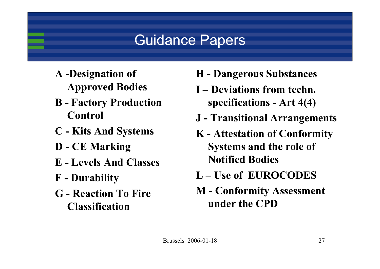## Guidance Papers

- **A -Designation of Approved Bodies**
- **B - Factory Production Control**
- **C - Kits And Systems**
- **D - CE Marking**
- **E - Levels And Classes**
- **F - Durability**
- **G - Reaction To Fire Classification**
- **H - Dangerous Substances**
- **I – Deviations from techn. specifications - Art 4(4)**
- **J - Transitional Arrangements**
- **K - Attestation of Conformity Systems and the role of Notified Bodies**
- **L – Use of EUROCODES**
- **M - Conformity Assessment under the CPD**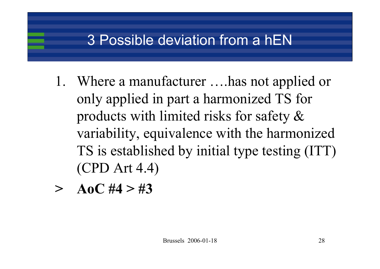### 3 Possible deviation from a hEN

- 1. Where a manufacturer ….has not applied or only applied in part a harmonized TS for products with limited risks for safety & variability, equivalence with the harmonized TS is established by initial type testing (ITT) (CPD Art 4.4)
- **>** $A_0C \#4 > 2\#3$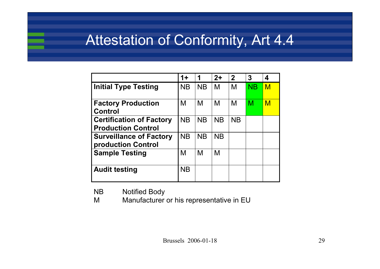#### Attestation of Conformity, Art 4.4

|                                                              | $1+$      | 1         | $2+$      | $\mathbf{2}$ | 3         | 4   |
|--------------------------------------------------------------|-----------|-----------|-----------|--------------|-----------|-----|
| <b>Initial Type Testing</b>                                  | <b>NB</b> | <b>NB</b> | M         | M            | <b>NB</b> | $M$ |
| <b>Factory Production</b><br><b>Control</b>                  | M         | M         | M         | M            | M         | M   |
| <b>Certification of Factory</b><br><b>Production Control</b> | <b>NB</b> | <b>NB</b> | <b>NB</b> | <b>NB</b>    |           |     |
| <b>Surveillance of Factory</b><br>production Control         | <b>NB</b> | <b>NB</b> | <b>NB</b> |              |           |     |
| <b>Sample Testing</b>                                        | M         | M         | M         |              |           |     |
| <b>Audit testing</b>                                         | <b>NB</b> |           |           |              |           |     |

NB Notified Body

M Manufacturer or his representative in EU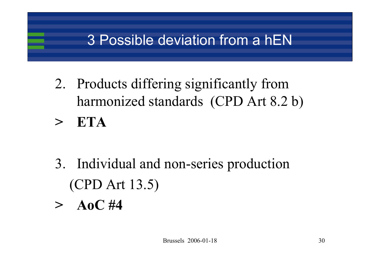## 3 Possible deviation from a hEN

2. Products differing significantly from harmonized standards (CPD Art 8.2 b) **> ETA**

- 3. Individual and non-series production (CPD Art 13.5)
- **> AoC #4**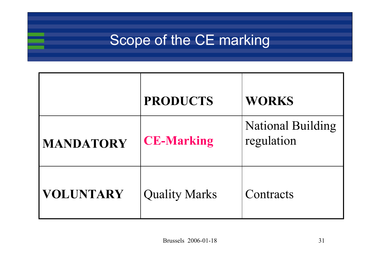#### Scope of the CE marking

|                  | <b>PRODUCTS</b>      | <b>WORKS</b>                           |
|------------------|----------------------|----------------------------------------|
| <b>MANDATORY</b> | <b>CE-Marking</b>    | <b>National Building</b><br>regulation |
| <b>VOLUNTARY</b> | <b>Quality Marks</b> | Contracts                              |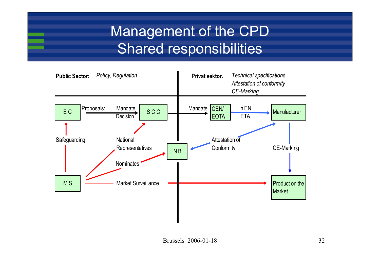## Management of the CPD Shared responsibilities

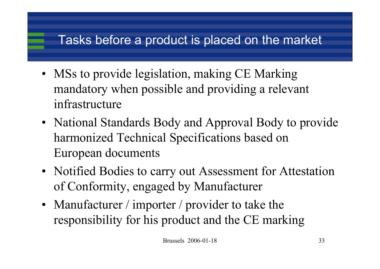#### Tasks before a product is placed on the market

- MSs to provide legislation, making CE Marking mandatory when possible and providing a relevant infrastructure
- National Standards Body and Approval Body to provide harmonized Technical Specifications based on European documents
- Notified Bodies to carry out Assessment for Attestation of Conformity, engaged by Manufacturer
- Manufacturer / importer / provider to take the responsibility for his product and the CE marking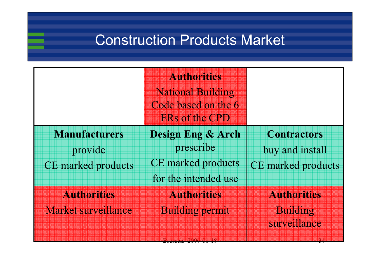#### Construction Products Market

|                                                              | <b>Authorities</b><br><b>National Building</b><br>Code based on the 6<br><b>ERs of the CPD</b> |                                                                    |
|--------------------------------------------------------------|------------------------------------------------------------------------------------------------|--------------------------------------------------------------------|
| <b>Manufacturers</b><br>provide<br><b>CE</b> marked products | <b>Design Eng &amp; Arch</b><br>prescribe<br><b>CE</b> marked products<br>for the intended use | <b>Contractors</b><br>buy and install<br><b>CE</b> marked products |
| Authorities<br>Market surveillance                           | Authorities<br><b>Building permit</b>                                                          | <b>Authorities</b><br>Building<br>surveillance                     |

Brussels 2006-01-18 34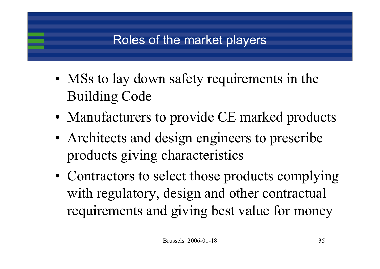#### Roles of the market players

- MSs to lay down safety requirements in the Building Code
- Manufacturers to provide CE marked products
- Architects and design engineers to prescribe products giving characteristics
- Contractors to select those products complying with regulatory, design and other contractual requirements and giving best value for money